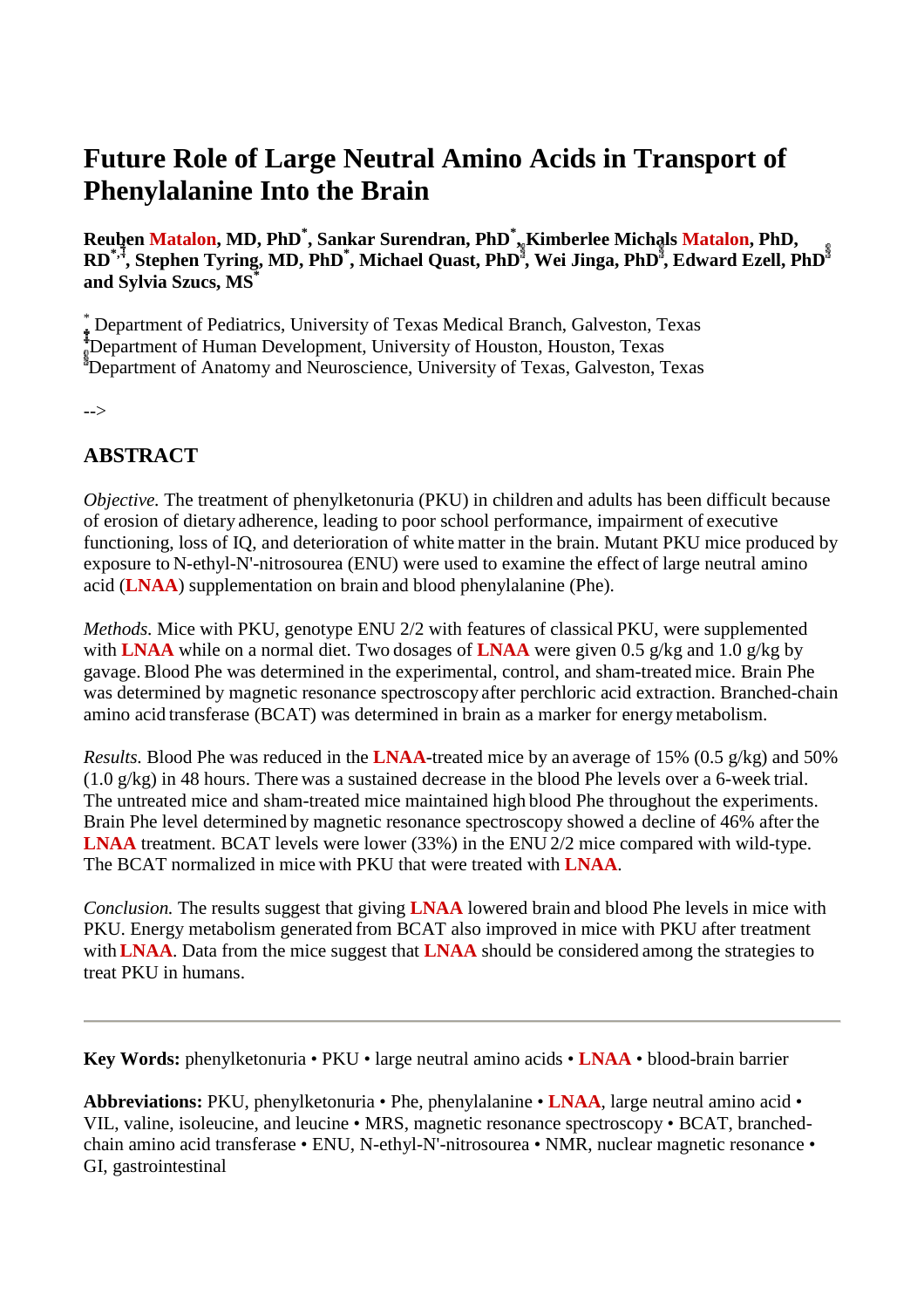# **Future Role of Large Neutral Amino Acids in Transport of Phenylalanine Into the Brain**

**Reuben Matalon, MD, PhD\* , Sankar Surendran, PhD\* , Kimberlee Michals Matalon, PhD, RD\*, , Stephen Tyring, MD, PhD\* , Michael Quast, PhD , Wei Jinga, PhD , Edward Ezell, PhD and Sylvia Szucs, MS\***

\* Department of Pediatrics, University of Texas Medical Branch, Galveston, Texas Department of Human Development, University of Houston, Houston, Texas Department of Anatomy and Neuroscience, University of Texas, Galveston, Texas

-->

## **ABSTRACT**

*Objective.* The treatment of phenylketonuria (PKU) in children and adults has been difficult because of erosion of dietary adherence, leading to poor school performance, impairment of executive functioning, loss of IQ, and deterioration of white matter in the brain. Mutant PKU mice produced by exposure to N-ethyl-N'-nitrosourea (ENU) were used to examine the effect of large neutral amino acid (**LNAA**) supplementation on brain and blood phenylalanine (Phe).

*Methods.* Mice with PKU, genotype ENU 2/2 with features of classical PKU, were supplemented with **LNAA** while on a normal diet. Two dosages of **LNAA** were given 0.5 g/kg and 1.0 g/kg by gavage. Blood Phe was determined in the experimental, control, and sham-treated mice. Brain Phe was determined by magnetic resonance spectroscopy after perchloric acid extraction. Branched-chain amino acid transferase (BCAT) was determined in brain as a marker for energymetabolism.

*Results.* Blood Phe was reduced in the **LNAA**-treated mice by an average of 15% (0.5 g/kg) and 50%  $(1.0 \text{ g/kg})$  in 48 hours. There was a sustained decrease in the blood Phe levels over a 6-week trial. The untreated mice and sham-treated mice maintained high blood Phe throughout the experiments. Brain Phe level determined by magnetic resonance spectroscopy showed a decline of 46% after the **LNAA** treatment. BCAT levels were lower (33%) in the ENU 2/2 mice compared with wild-type. The BCAT normalized in mice with PKU that were treated with **LNAA**.

*Conclusion.* The results suggest that giving **LNAA** lowered brain and blood Phe levels in mice with PKU. Energy metabolism generated from BCAT also improved in mice with PKU after treatment with **LNAA**. Data from the mice suggest that **LNAA** should be considered among the strategies to treat PKU in humans.

**Key Words:** phenylketonuria • PKU • large neutral amino acids • **LNAA** • blood-brain barrier

**Abbreviations:** PKU, phenylketonuria • Phe, phenylalanine • **LNAA**, large neutral amino acid • VIL, valine, isoleucine, and leucine • MRS, magnetic resonance spectroscopy • BCAT, branchedchain amino acid transferase • ENU, N-ethyl-N'-nitrosourea • NMR, nuclear magnetic resonance • GI, gastrointestinal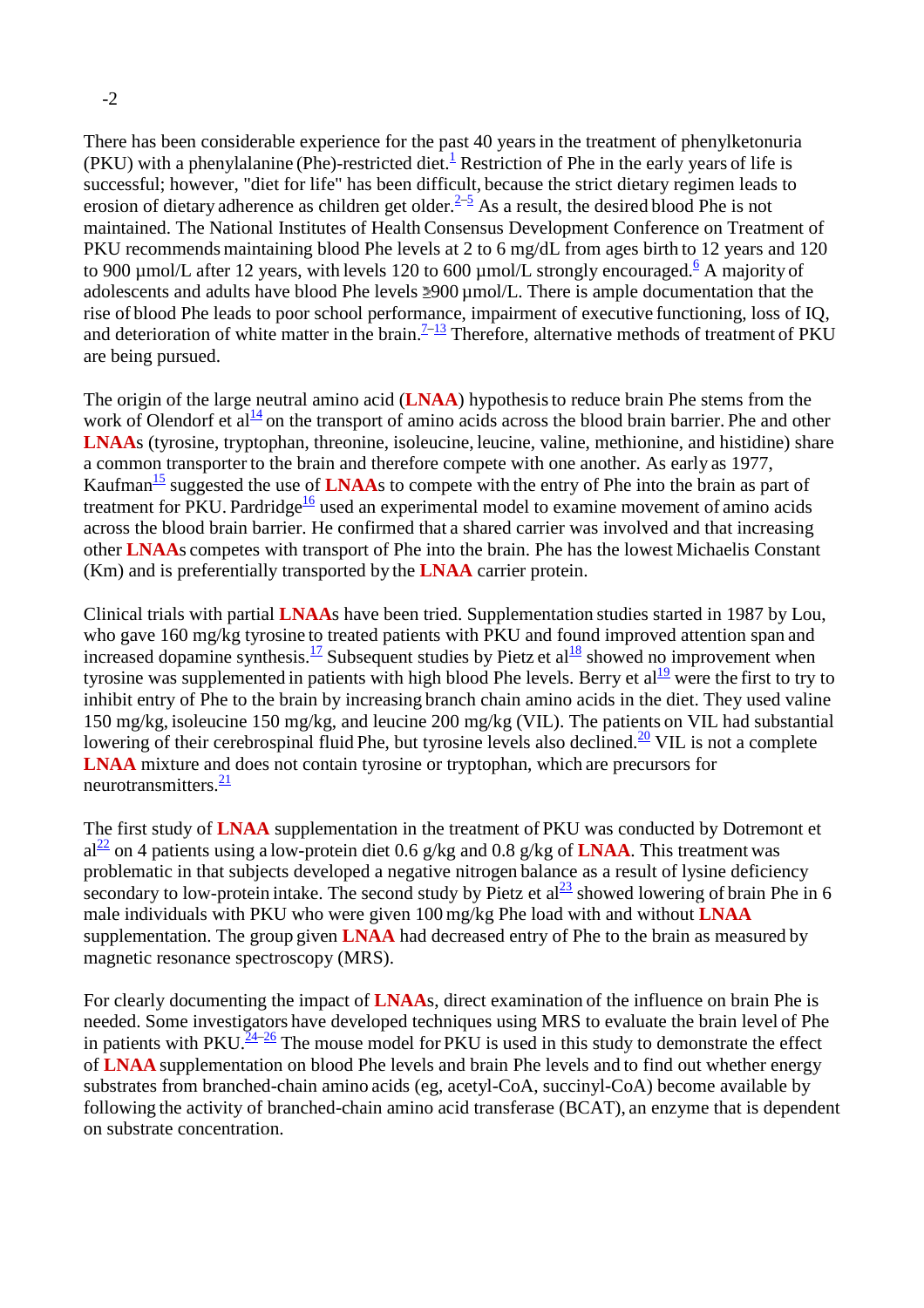There has been considerable experience for the past 40 yearsin the treatment of phenylketonuria (PKU) with a phenylalanine (Phe)-restricted diet.<sup>1</sup> Restriction of Phe in the early years of life is successful; however, "diet for life" has been difficult, because the strict dietary regimen leads to erosion of dietary adherence as children get older. $2\frac{3}{5}$  As a result, the desired blood Phe is not maintained. The National Institutes of Health Consensus Development Conference on Treatment of PKU recommends maintaining blood Phe levels at 2 to 6 mg/dL from ages birth to 12 years and 120 to 900  $\mu$ mol/L after 12 years, with levels 120 to 600  $\mu$ mol/L strongly encouraged.<sup>6</sup> A majority of adolescents and adults have blood Phe levels  $2900 \mu$ mol/L. There is ample documentation that the rise of blood Phe leads to poor school performance, impairment of executive functioning, loss of IQ, and deterioration of white matter in the brain.<sup> $7-13$ </sup> Therefore, alternative methods of treatment of PKU are being pursued.

The origin of the large neutral amino acid (**LNAA**) hypothesisto reduce brain Phe stems from the work of Olendorf et  $al<sup>14</sup>$  on the transport of amino acids across the blood brain barrier. Phe and other **LNAA**s (tyrosine, tryptophan, threonine, isoleucine, leucine, valine, methionine, and histidine) share a common transporter to the brain and therefore compete with one another. As early as 1977, Kaufman<sup>15</sup> suggested the use of **LNAA**s to compete with the entry of Phe into the brain as part of treatment for PKU. Pardridge<sup>16</sup> used an experimental model to examine movement of amino acids across the blood brain barrier. He confirmed that a shared carrier was involved and that increasing other **LNAA**s competes with transport of Phe into the brain. Phe has the lowest Michaelis Constant (Km) and is preferentially transported by the **LNAA** carrier protein.

Clinical trials with partial **LNAA**s have been tried. Supplementation studies started in 1987 by Lou, who gave 160 mg/kg tyrosine to treated patients with PKU and found improved attention span and increased dopamine synthesis.<sup>17</sup> Subsequent studies by Pietz et al<sup>18</sup> showed no improvement when tyrosine was supplemented in patients with high blood Phe levels. Berry et  $al<sup>19</sup>$  were the first to try to inhibit entry of Phe to the brain by increasing branch chain amino acids in the diet. They used valine 150 mg/kg, isoleucine 150 mg/kg, and leucine 200 mg/kg (VIL). The patients on VIL had substantial lowering of their cerebrospinal fluid Phe, but tyrosine levels also declined.<sup>20</sup> VIL is not a complete **LNAA** mixture and does not contain tyrosine or tryptophan, which are precursors for neurotransmitters.<sup>21</sup>

The first study of **LNAA** supplementation in the treatment of PKU was conducted by Dotremont et  $al^2$  on 4 patients using a low-protein diet 0.6 g/kg and 0.8 g/kg of **LNAA**. This treatment was problematic in that subjects developed a negative nitrogen balance as a result of lysine deficiency secondary to low-protein intake. The second study by Pietz et al<sup>23</sup> showed lowering of brain Phe in 6 male individuals with PKU who were given 100 mg/kg Phe load with and without **LNAA** supplementation. The group given **LNAA** had decreased entry of Phe to the brain as measured by magnetic resonance spectroscopy (MRS).

For clearly documenting the impact of **LNAA**s, direct examination of the influence on brain Phe is needed. Some investigators have developed techniques using MRS to evaluate the brain level of Phe in patients with PKU.<sup>24–26</sup> The mouse model for PKU is used in this study to demonstrate the effect of **LNAA** supplementation on blood Phe levels and brain Phe levels and to find out whether energy substrates from branched-chain amino acids (eg, acetyl-CoA, succinyl-CoA) become available by following the activity of branched-chain amino acid transferase (BCAT), an enzyme that is dependent on substrate concentration.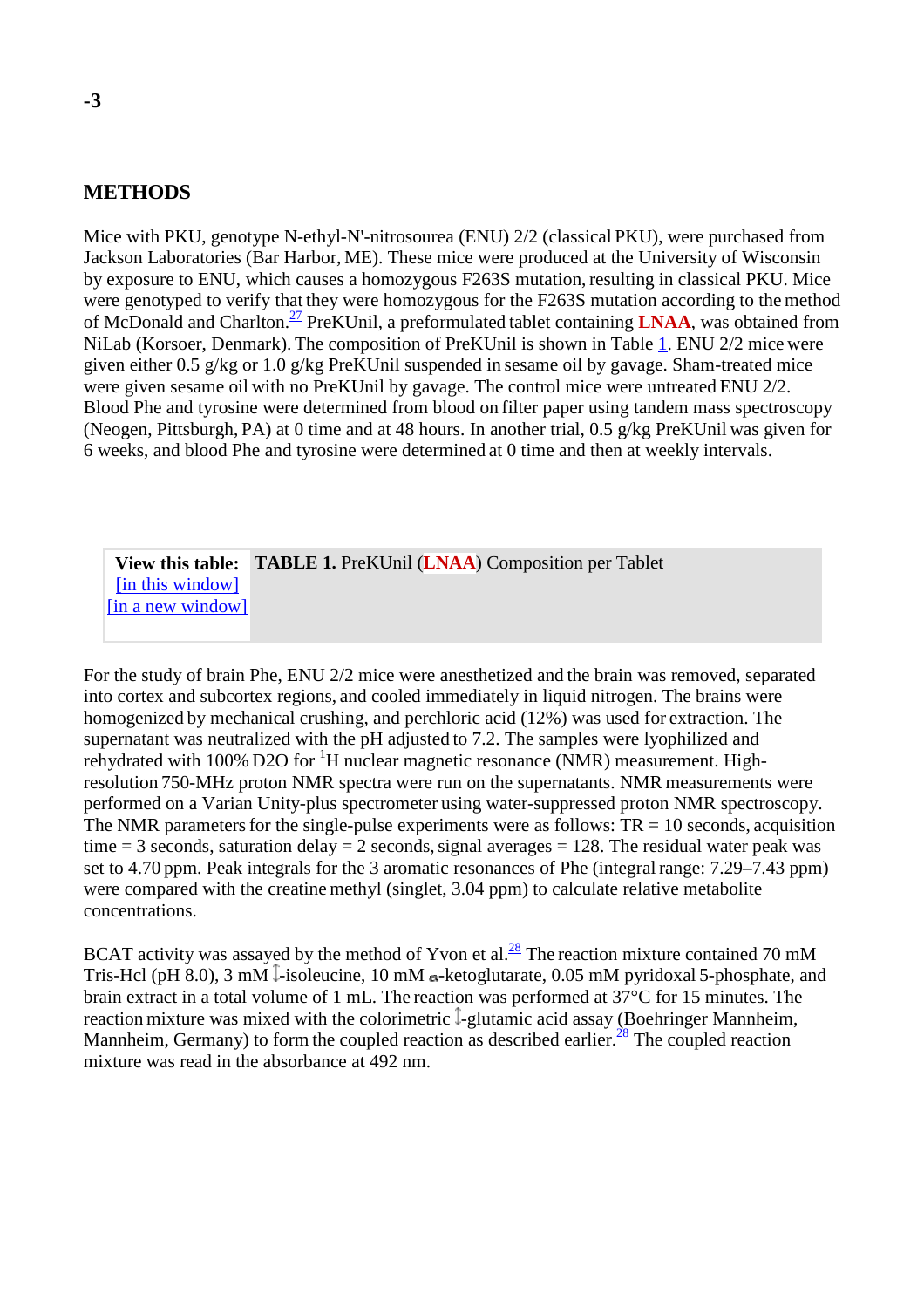#### **METHODS**

Mice with PKU, genotype N-ethyl-N'-nitrosourea (ENU) 2/2 (classical PKU), were purchased from Jackson Laboratories (Bar Harbor, ME). These mice were produced at the University of Wisconsin by exposure to ENU, which causes a homozygous F263S mutation, resulting in classical PKU. Mice were genotyped to verify that they were homozygous for the F263S mutation according to the method of McDonald and Charlton.<sup>27</sup> PreKUnil, a preformulated tablet containing **LNAA**, was obtained from NiLab (Korsoer, Denmark). The composition of PreKUnil is shown in Table 1. ENU 2/2 mice were given either 0.5 g/kg or 1.0 g/kg PreKUnil suspended in sesame oil by gavage. Sham-treated mice were given sesame oil with no PreKUnil by gavage. The control mice were untreated ENU 2/2. Blood Phe and tyrosine were determined from blood on filter paper using tandem mass spectroscopy (Neogen, Pittsburgh, PA) at 0 time and at 48 hours. In another trial, 0.5 g/kg PreKUnil was given for 6 weeks, and blood Phe and tyrosine were determined at 0 time and then at weekly intervals.

**View this table: TABLE 1.** PreKUnil (**LNAA**) Composition per Tablet [in this window] [in a new window]

For the study of brain Phe, ENU 2/2 mice were anesthetized and the brain was removed, separated into cortex and subcortex regions, and cooled immediately in liquid nitrogen. The brains were homogenized by mechanical crushing, and perchloric acid (12%) was used for extraction. The supernatant was neutralized with the pH adjusted to 7.2. The samples were lyophilized and rehydrated with 100% D2O for  ${}^{1}H$  nuclear magnetic resonance (NMR) measurement. Highresolution 750-MHz proton NMR spectra were run on the supernatants. NMR measurements were performed on a Varian Unity-plus spectrometer using water-suppressed proton NMR spectroscopy. The NMR parameters for the single-pulse experiments were as follows:  $TR = 10$  seconds, acquisition time  $= 3$  seconds, saturation delay  $= 2$  seconds, signal averages  $= 128$ . The residual water peak was set to 4.70 ppm. Peak integrals for the 3 aromatic resonances of Phe (integral range: 7.29–7.43 ppm) were compared with the creatine methyl (singlet, 3.04 ppm) to calculate relative metabolite concentrations.

BCAT activity was assayed by the method of Yvon et al. $^{28}$  The reaction mixture contained 70 mM Tris-Hcl (pH 8.0), 3 mM  $\overline{\ }$ -isoleucine, 10 mM  $\alpha$ -ketoglutarate, 0.05 mM pyridoxal 5-phosphate, and brain extract in a total volume of 1 mL. The reaction was performed at 37°C for 15 minutes. The reaction mixture was mixed with the colorimetric  $\mathbb{I}\text{-glutamic acid assay}$  (Boehringer Mannheim, Mannheim, Germany) to form the coupled reaction as described earlier. $\frac{28}{3}$  The coupled reaction mixture was read in the absorbance at 492 nm.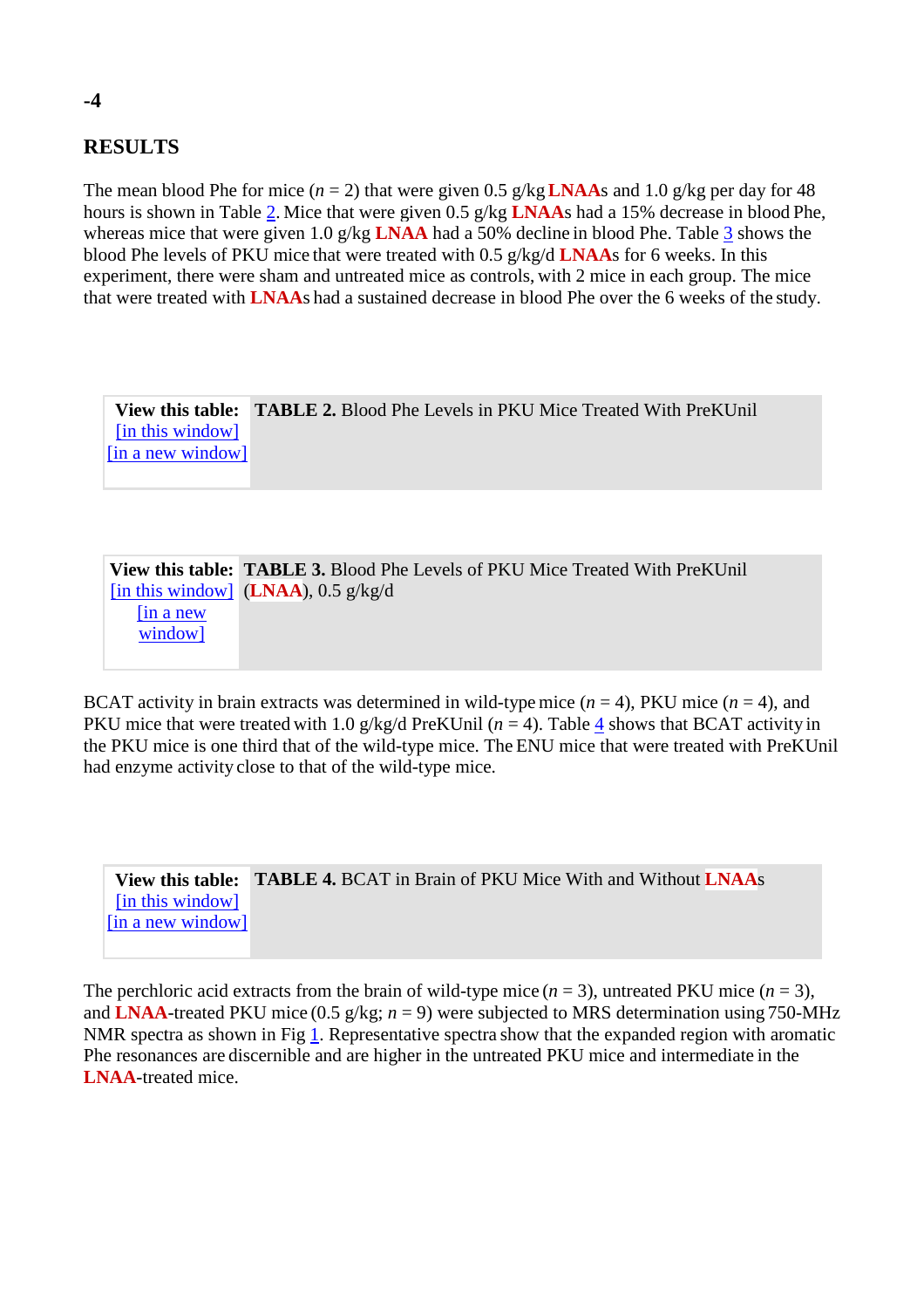### **RESULTS**

The mean blood Phe for mice ( $n = 2$ ) that were given 0.5 g/kg **LNAA**s and 1.0 g/kg per day for 48 hours is shown in Table 2. Mice that were given 0.5 g/kg **LNAA**s had a 15% decrease in blood Phe, whereas mice that were given 1.0 g/kg **LNAA** had a 50% decline in blood Phe. Table 3 shows the blood Phe levels of PKU mice that were treated with 0.5 g/kg/d **LNAA**s for 6 weeks. In this experiment, there were sham and untreated mice as controls, with 2 mice in each group. The mice that were treated with **LNAA**s had a sustained decrease in blood Phe over the 6 weeks of the study.

**View this table: TABLE 2.** Blood Phe Levels in PKU Mice Treated With PreKUnil [in this window] [in a new window]

|             | <b>View this table: TABLE 3.</b> Blood Phe Levels of PKU Mice Treated With PreKUnil |
|-------------|-------------------------------------------------------------------------------------|
|             | [in this window] $(LNAA)$ , 0.5 g/kg/d                                              |
| $\ln a$ new |                                                                                     |
| window]     |                                                                                     |
|             |                                                                                     |

BCAT activity in brain extracts was determined in wild-type mice  $(n = 4)$ , PKU mice  $(n = 4)$ , and PKU mice that were treated with 1.0  $g/kg/d$  PreKUnil ( $n = 4$ ). Table 4 shows that BCAT activity in the PKU mice is one third that of the wild-type mice. The ENU mice that were treated with PreKUnil had enzyme activity close to that of the wild-type mice.

**View this table: TABLE 4.** BCAT in Brain of PKU Mice With and Without **LNAA**s [in this window] [in a new window]

The perchloric acid extracts from the brain of wild-type mice  $(n = 3)$ , untreated PKU mice  $(n = 3)$ , and **LNAA**-treated PKU mice (0.5 g/kg; *n* = 9) were subjected to MRS determination using 750-MHz NMR spectra as shown in Fig 1. Representative spectra show that the expanded region with aromatic Phe resonances are discernible and are higher in the untreated PKU mice and intermediate in the **LNAA**-treated mice.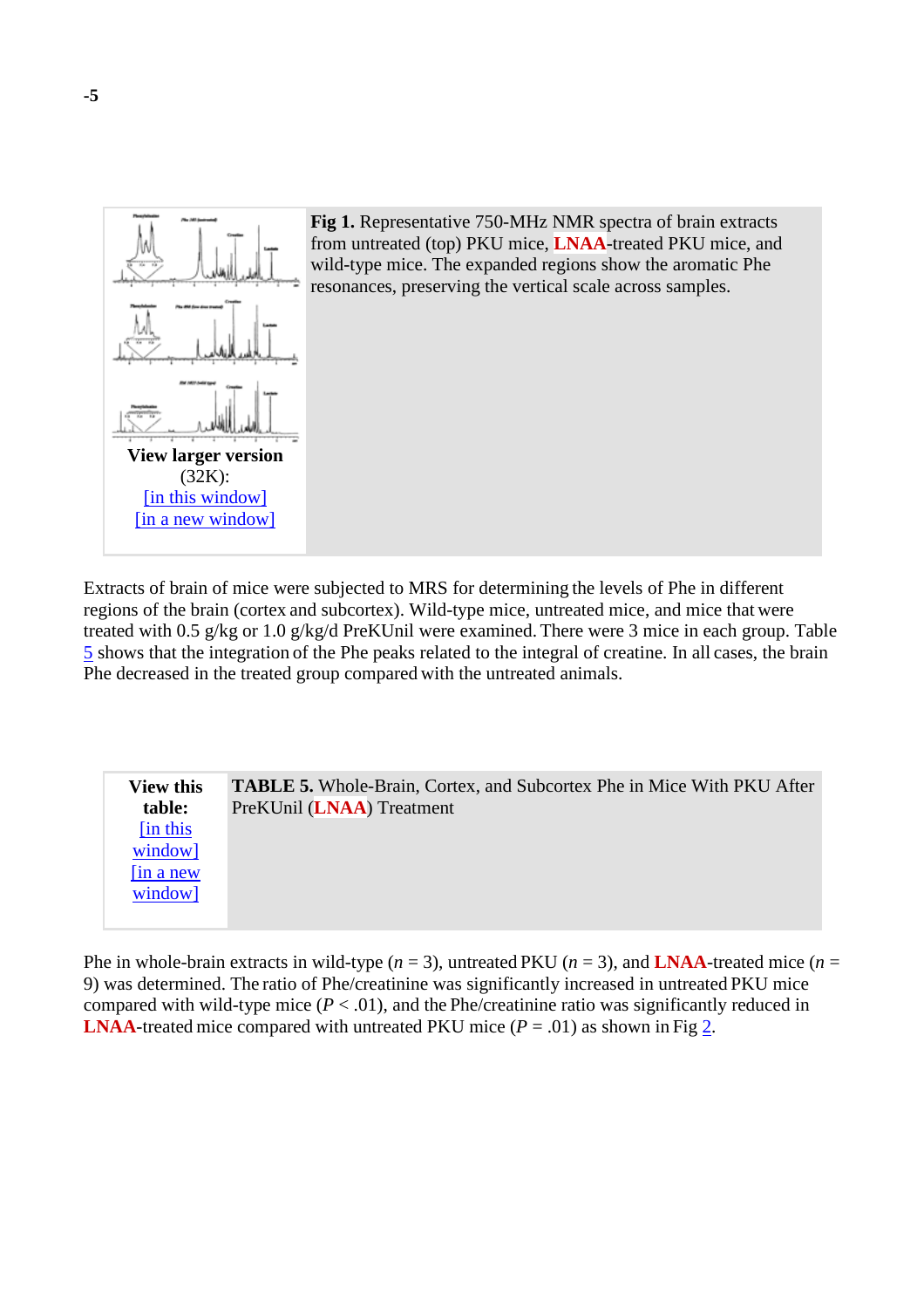

**Fig 1.** Representative 750-MHz NMR spectra of brain extracts from untreated (top) PKU mice, **LNAA**-treated PKU mice, and wild-type mice. The expanded regions show the aromatic Phe resonances, preserving the vertical scale across samples.

Extracts of brain of mice were subjected to MRS for determining the levels of Phe in different regions of the brain (cortex and subcortex). Wild-type mice, untreated mice, and mice that were treated with 0.5 g/kg or 1.0 g/kg/d PreKUnil were examined. There were 3 mice in each group. Table 5 shows that the integration of the Phe peaks related to the integral of creatine. In all cases, the brain Phe decreased in the treated group compared with the untreated animals.

| <b>View this</b> | <b>TABLE 5.</b> Whole-Brain, Cortex, and Subcortex Phe in Mice With PKU After |
|------------------|-------------------------------------------------------------------------------|
| table:           | PreKUnil (LNAA) Treatment                                                     |
| [in this]        |                                                                               |
| window]          |                                                                               |
| $\sin a$ new     |                                                                               |
| window]          |                                                                               |
|                  |                                                                               |

Phe in whole-brain extracts in wild-type  $(n = 3)$ , untreated PKU  $(n = 3)$ , and **LNAA**-treated mice  $(n = 1)$ 9) was determined. The ratio of Phe/creatinine was significantly increased in untreated PKU mice compared with wild-type mice  $(P < .01)$ , and the Phe/creatinine ratio was significantly reduced in **LNAA**-treated mice compared with untreated PKU mice  $(P = .01)$  as shown in Fig 2.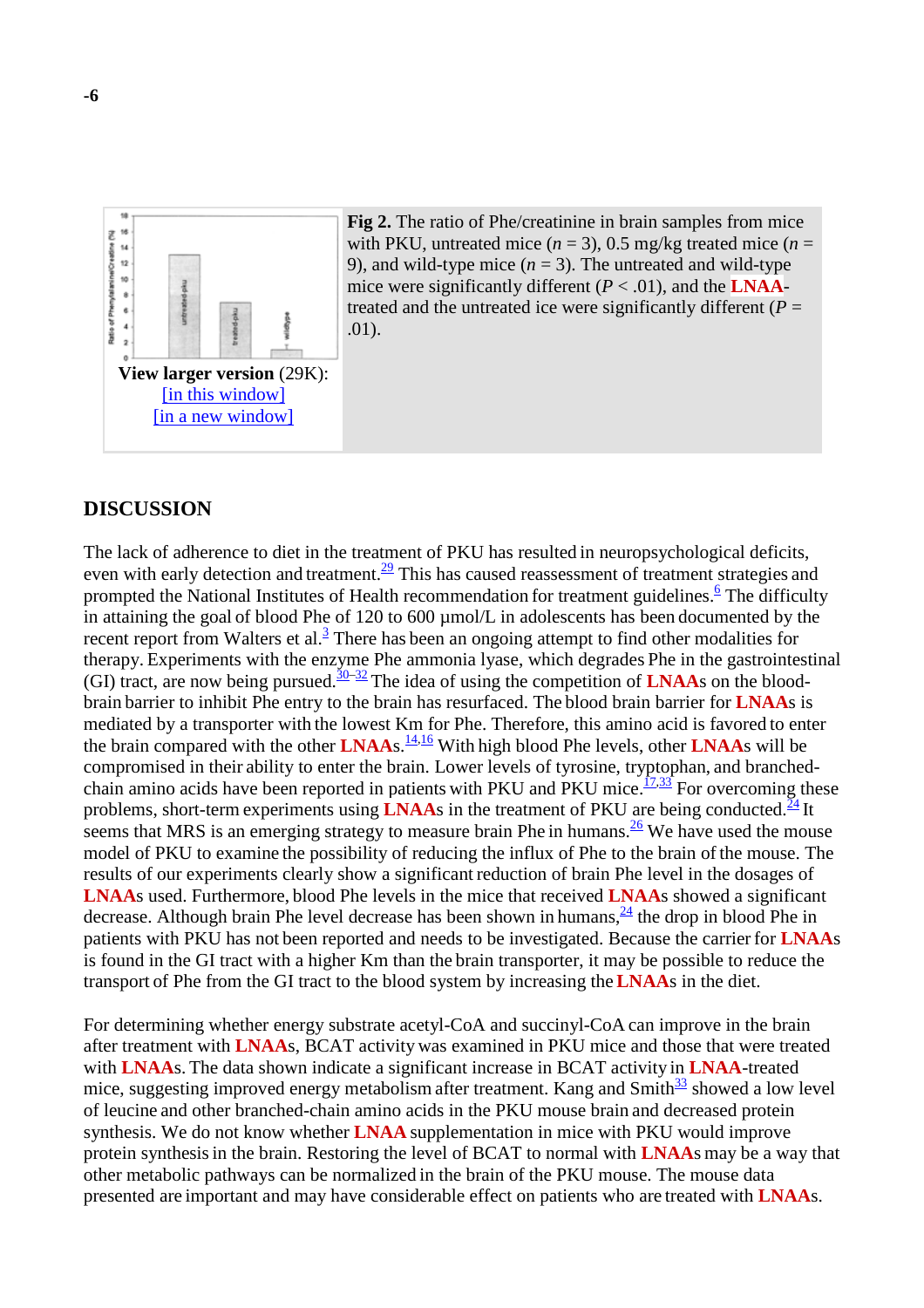

**Fig 2.** The ratio of Phe/creatinine in brain samples from mice with PKU, untreated mice  $(n = 3)$ , 0.5 mg/kg treated mice  $(n = 1)$ 9), and wild-type mice  $(n = 3)$ . The untreated and wild-type mice were significantly different  $(P < .01)$ , and the **LNAA**treated and the untreated ice were significantly different  $(P =$ .01).

#### **DISCUSSION**

The lack of adherence to diet in the treatment of PKU has resulted in neuropsychological deficits, even with early detection and treatment.<sup>29</sup> This has caused reassessment of treatment strategies and prompted the National Institutes of Health recommendation for treatment guidelines.<sup>6</sup> The difficulty in attaining the goal of blood Phe of 120 to 600 µmol/L in adolescents has been documented by the recent report from Walters et al. $3$  There has been an ongoing attempt to find other modalities for therapy. Experiments with the enzyme Phe ammonia lyase, which degrades Phe in the gastrointestinal (GI) tract, are now being pursued.<sup>30–32</sup> The idea of using the competition of **LNAA**s on the bloodbrain barrier to inhibit Phe entry to the brain has resurfaced. The blood brain barrier for **LNAA**s is mediated by a transporter with the lowest Km for Phe. Therefore, this amino acid is favored to enter the brain compared with the other **LNAA**s. 14,16 With high blood Phe levels, other **LNAA**s will be compromised in their ability to enter the brain. Lower levels of tyrosine, tryptophan, and branchedchain amino acids have been reported in patients with PKU and PKU mice. $\frac{17,33}{17}$  For overcoming these problems, short-term experiments using **LNAA**s in the treatment of PKU are being conducted.<sup>24</sup> It seems that MRS is an emerging strategy to measure brain Phe in humans.  $\frac{26}{3}$  We have used the mouse model of PKU to examine the possibility of reducing the influx of Phe to the brain of the mouse. The results of our experiments clearly show a significant reduction of brain Phe level in the dosages of **LNAA**s used. Furthermore, blood Phe levels in the mice that received **LNAA**s showed a significant decrease. Although brain Phe level decrease has been shown in humans,  $\frac{24}{1}$  the drop in blood Phe in patients with PKU has not been reported and needs to be investigated. Because the carrier for **LNAA**s is found in the GI tract with a higher Km than the brain transporter, it may be possible to reduce the transport of Phe from the GI tract to the blood system by increasing the**LNAA**s in the diet.

For determining whether energy substrate acetyl-CoA and succinyl-CoA can improve in the brain after treatment with **LNAA**s, BCAT activity was examined in PKU mice and those that were treated with **LNAA**s. The data shown indicate a significant increase in BCAT activity in **LNAA**-treated mice, suggesting improved energy metabolism after treatment. Kang and  $Smith^{\frac{33}{2}}$  showed a low level of leucine and other branched-chain amino acids in the PKU mouse brain and decreased protein synthesis. We do not know whether **LNAA** supplementation in mice with PKU would improve protein synthesisin the brain. Restoring the level of BCAT to normal with **LNAA**s may be a way that other metabolic pathways can be normalized in the brain of the PKU mouse. The mouse data presented are important and may have considerable effect on patients who are treated with **LNAA**s.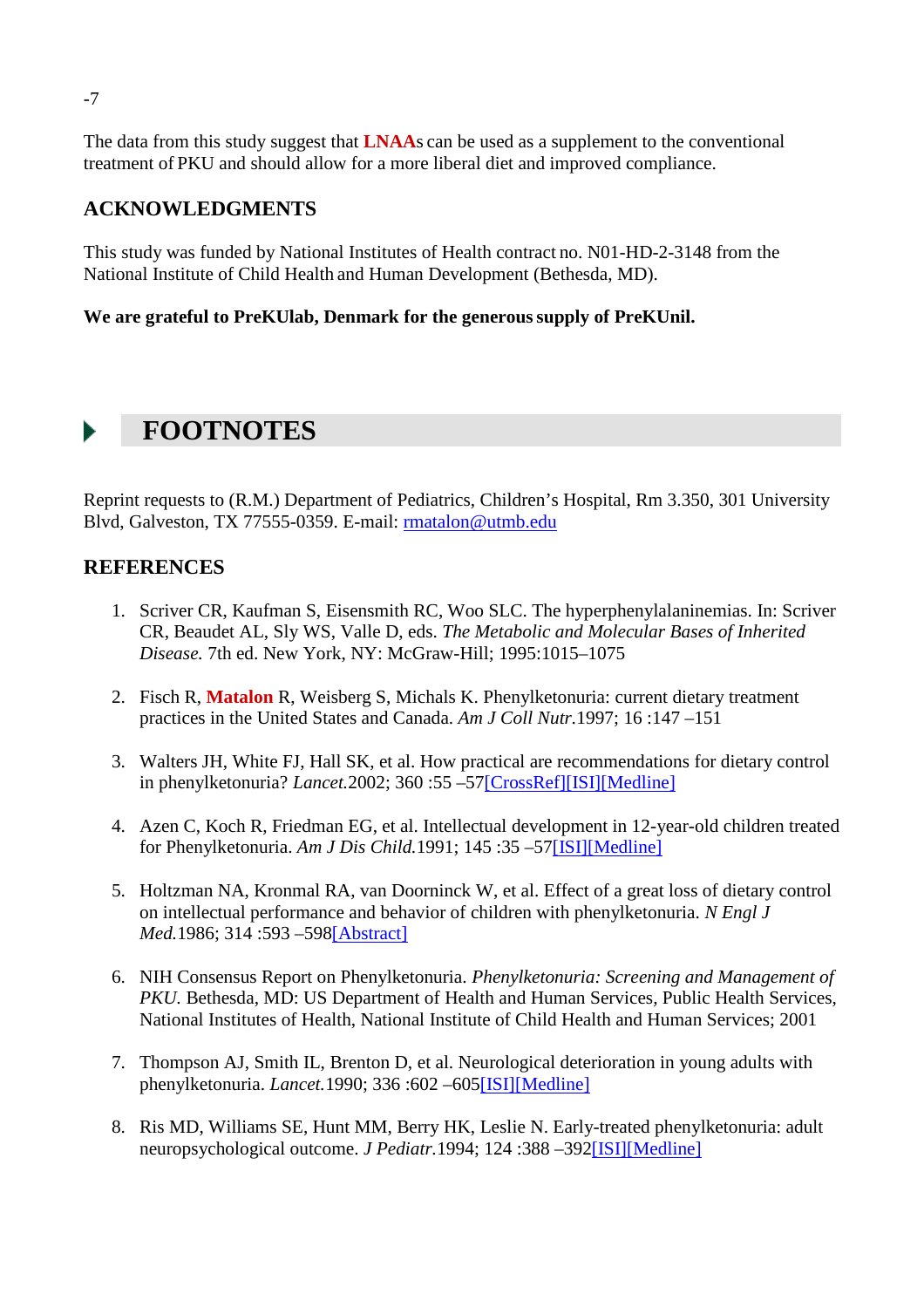The data from this study suggest that **LNAA**s can be used as a supplement to the conventional treatment of PKU and should allow for a more liberal diet and improved compliance.

### **ACKNOWLEDGMENTS**

This study was funded by National Institutes of Health contract no. N01-HD-2-3148 from the National Institute of Child Health and Human Development (Bethesda, MD).

#### **We are grateful to PreKUlab, Denmark for the generoussupply of PreKUnil.**

## **FOOTNOTES**

Reprint requests to (R.M.) Department of Pediatrics, Children's Hospital, Rm 3.350, 301 University Blvd, Galveston, TX 77555-0359. E-mail: rmatalon@utmb.edu

#### **REFERENCES**

- 1. Scriver CR, Kaufman S, Eisensmith RC, Woo SLC. The hyperphenylalaninemias. In: Scriver CR, Beaudet AL, Sly WS, Valle D, eds. *The Metabolic and Molecular Bases of Inherited Disease.* 7th ed. New York, NY: McGraw-Hill; 1995:1015–1075
- 2. Fisch R, **Matalon** R, Weisberg S, Michals K. Phenylketonuria: current dietary treatment practices in the United States and Canada. *Am J Coll Nutr.*1997; 16 :147 –151
- 3. Walters JH, White FJ, Hall SK, et al. How practical are recommendations for dietary control in phenylketonuria? *Lancet.*2002; 360 :55 –57[CrossRef][ISI][Medline]
- 4. Azen C, Koch R, Friedman EG, et al. Intellectual development in 12-year-old children treated for Phenylketonuria. *Am J Dis Child.*1991; 145 :35 –57[ISI][Medline]
- 5. Holtzman NA, Kronmal RA, van Doorninck W, et al. Effect of a great loss of dietary control on intellectual performance and behavior of children with phenylketonuria. *N Engl J Med.*1986; 314 :593 –598[Abstract]
- 6. NIH Consensus Report on Phenylketonuria. *Phenylketonuria: Screening and Management of PKU*. Bethesda, MD: US Department of Health and Human Services, Public Health Services, National Institutes of Health, National Institute of Child Health and Human Services; 2001
- 7. Thompson AJ, Smith IL, Brenton D, et al. Neurological deterioration in young adults with phenylketonuria. *Lancet.*1990; 336 :602 –605[ISI][Medline]
- 8. Ris MD, Williams SE, Hunt MM, Berry HK, Leslie N. Early-treated phenylketonuria: adult neuropsychological outcome. *J Pediatr.*1994; 124 :388 –392[ISI][Medline]

-7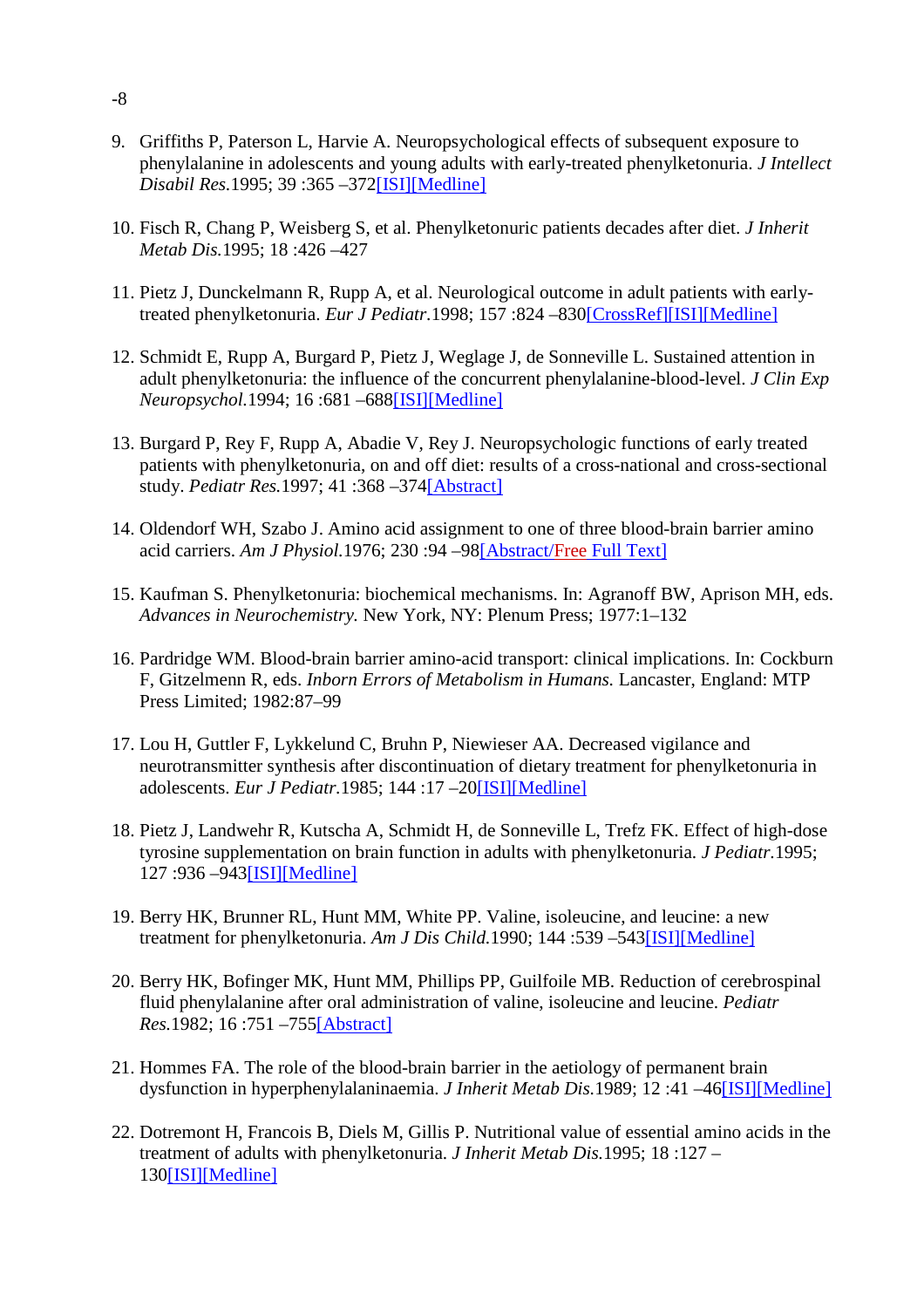- 9. Griffiths P, Paterson L, Harvie A. Neuropsychological effects of subsequent exposure to phenylalanine in adolescents and young adults with early-treated phenylketonuria. *J Intellect Disabil Res.*1995; 39 :365 –372[ISI][Medline]
- 10. Fisch R, Chang P, Weisberg S, et al. Phenylketonuric patients decades after diet. *J Inherit Metab Dis.*1995; 18 :426 –427
- 11. Pietz J, Dunckelmann R, Rupp A, et al. Neurological outcome in adult patients with earlytreated phenylketonuria. *Eur J Pediatr.*1998; 157 :824 –830[CrossRef][ISI][Medline]
- 12. Schmidt E, Rupp A, Burgard P, Pietz J, Weglage J, de Sonneville L. Sustained attention in adult phenylketonuria: the influence of the concurrent phenylalanine-blood-level. *J Clin Exp Neuropsychol.*1994; 16 :681 –688[ISI][Medline]
- 13. Burgard P, Rey F, Rupp A, Abadie V, Rey J. Neuropsychologic functions of early treated patients with phenylketonuria, on and off diet: results of a cross-national and cross-sectional study. *Pediatr Res.*1997; 41 :368 –374[Abstract]
- 14. Oldendorf WH, Szabo J. Amino acid assignment to one of three blood-brain barrier amino acid carriers. *Am J Physiol.*1976; 230 :94 –98[Abstract/Free Full Text]
- 15. Kaufman S. Phenylketonuria: biochemical mechanisms. In: Agranoff BW, Aprison MH, eds. *Advances in Neurochemistry.* New York, NY: Plenum Press; 1977:1–132
- 16. Pardridge WM. Blood-brain barrier amino-acid transport: clinical implications. In: Cockburn F, Gitzelmenn R, eds. *Inborn Errors of Metabolism in Humans.* Lancaster, England: MTP Press Limited; 1982:87–99
- 17. Lou H, Guttler F, Lykkelund C, Bruhn P, Niewieser AA. Decreased vigilance and neurotransmitter synthesis after discontinuation of dietary treatment for phenylketonuria in adolescents. *Eur J Pediatr.*1985; 144 :17 –20[ISI][Medline]
- 18. Pietz J, Landwehr R, Kutscha A, Schmidt H, de Sonneville L, Trefz FK. Effect of high-dose tyrosine supplementation on brain function in adults with phenylketonuria. *J Pediatr.*1995; 127 :936 –943[ISI][Medline]
- 19. Berry HK, Brunner RL, Hunt MM, White PP. Valine, isoleucine, and leucine: a new treatment for phenylketonuria. *Am J Dis Child*.1990; 144:539-543[ISI][Medline]
- 20. Berry HK, Bofinger MK, Hunt MM, Phillips PP, Guilfoile MB. Reduction of cerebrospinal fluid phenylalanine after oral administration of valine, isoleucine and leucine. *Pediatr Res.*1982; 16 :751 –755[Abstract]
- 21. Hommes FA. The role of the blood-brain barrier in the aetiology of permanent brain dysfunction in hyperphenylalaninaemia. *J Inherit Metab Dis.*1989; 12 :41 –46[ISI][Medline]
- 22. Dotremont H, Francois B, Diels M, Gillis P. Nutritional value of essential amino acids in the treatment of adults with phenylketonuria. *J Inherit Metab Dis.*1995; 18 :127 – 130[ISI][Medline]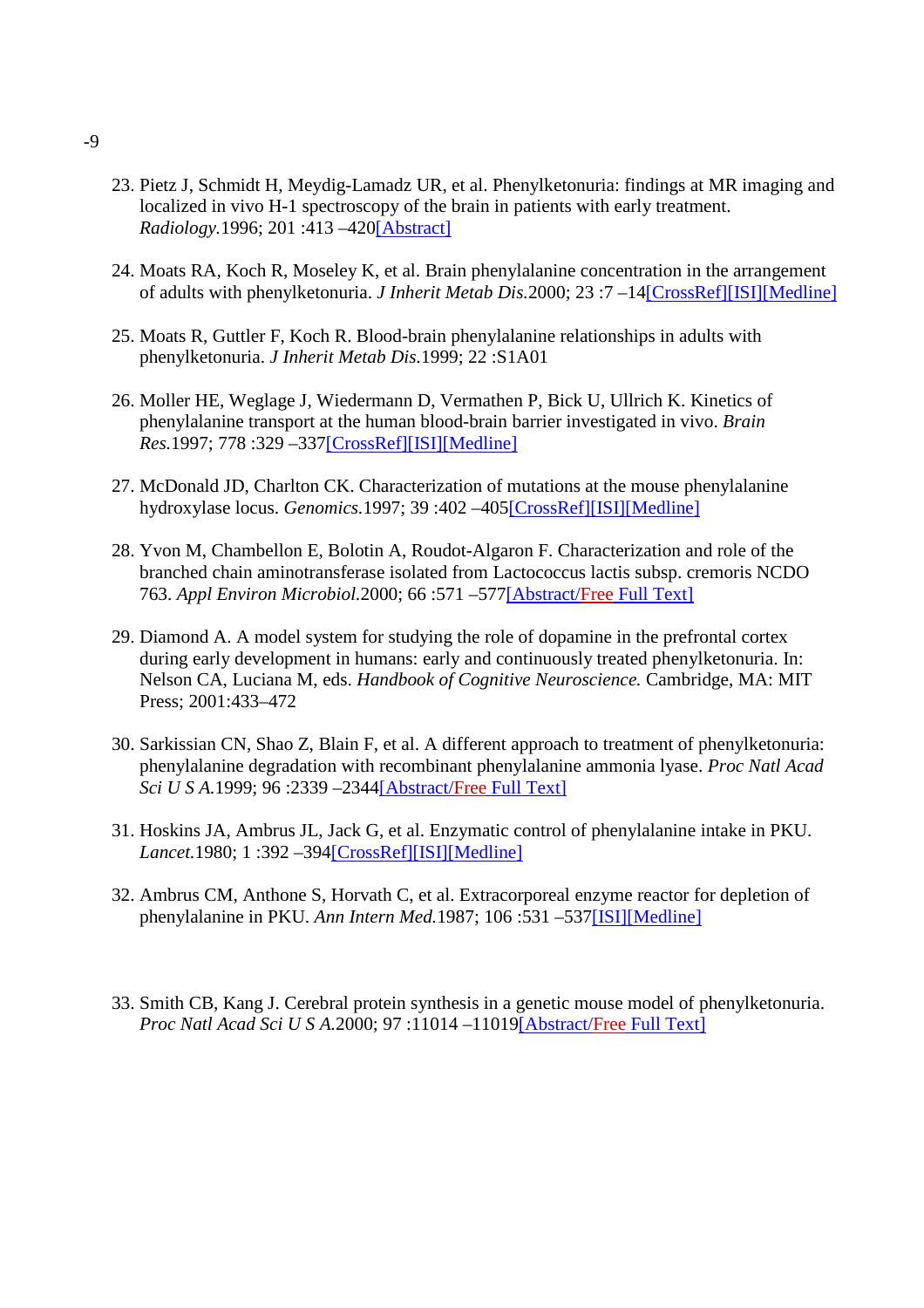- 23. Pietz J, Schmidt H, Meydig-Lamadz UR, et al. Phenylketonuria: findings at MR imaging and localized in vivo H-1 spectroscopy of the brain in patients with early treatment. *Radiology.*1996; 201 :413 –420[Abstract]
- 24. Moats RA, Koch R, Moseley K, et al. Brain phenylalanine concentration in the arrangement of adults with phenylketonuria. *J Inherit Metab Dis.*2000; 23 :7 –14[CrossRef][ISI][Medline]
- 25. Moats R, Guttler F, Koch R. Blood-brain phenylalanine relationships in adults with phenylketonuria. *J Inherit Metab Dis.*1999; 22 :S1A01
- 26. Moller HE, Weglage J, Wiedermann D, Vermathen P, Bick U, Ullrich K. Kinetics of phenylalanine transport at the human blood-brain barrier investigated in vivo. *Brain Res.*1997; 778 :329 –337[CrossRef][ISI][Medline]
- 27. McDonald JD, Charlton CK. Characterization of mutations at the mouse phenylalanine hydroxylase locus. *Genomics.*1997; 39 :402 –405[CrossRef][ISI][Medline]
- 28. Yvon M, Chambellon E, Bolotin A, Roudot-Algaron F. Characterization and role of the branched chain aminotransferase isolated from Lactococcus lactis subsp. cremoris NCDO 763. *Appl Environ Microbiol.*2000; 66 :571 –577[Abstract/Free Full Text]
- 29. Diamond A. A model system for studying the role of dopamine in the prefrontal cortex during early development in humans: early and continuously treated phenylketonuria. In: Nelson CA, Luciana M, eds. *Handbook of Cognitive Neuroscience.* Cambridge, MA: MIT Press; 2001:433–472
- 30. Sarkissian CN, Shao Z, Blain F, et al. A different approach to treatment of phenylketonuria: phenylalanine degradation with recombinant phenylalanine ammonia lyase. *Proc Natl Acad Sci U S A.*1999; 96 :2339 –2344[Abstract/Free Full Text]
- 31. Hoskins JA, Ambrus JL, Jack G, et al. Enzymatic control of phenylalanine intake in PKU. *Lancet.*1980; 1 :392 –394[CrossRef][ISI][Medline]
- 32. Ambrus CM, Anthone S, Horvath C, et al. Extracorporeal enzyme reactor for depletion of phenylalanine in PKU. *Ann Intern Med.*1987; 106 :531 –537[ISI][Medline]
- 33. Smith CB, Kang J. Cerebral protein synthesis in a genetic mouse model of phenylketonuria. *Proc Natl Acad Sci U S A.*2000; 97 :11014 –11019[Abstract/Free Full Text]

-9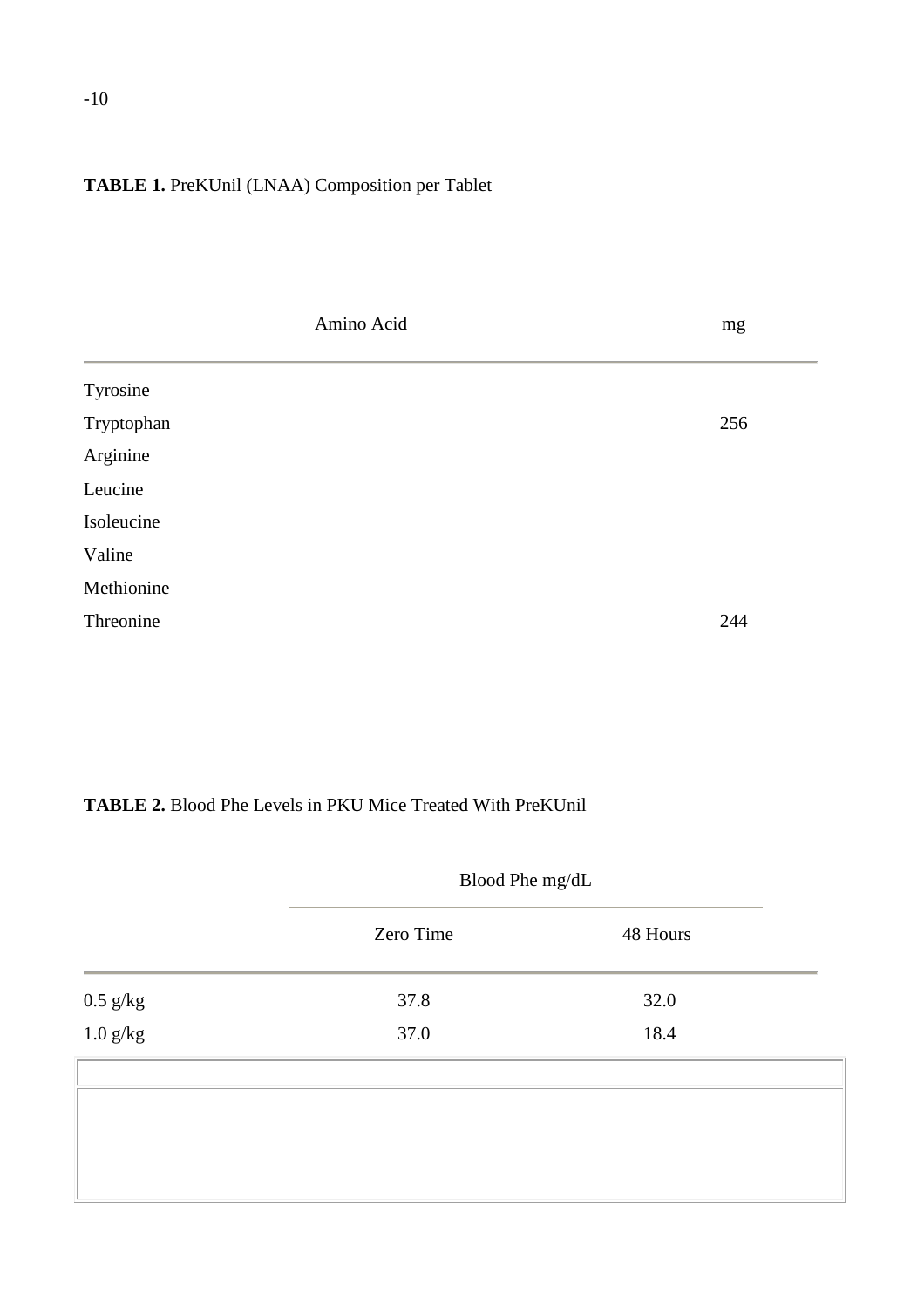## **TABLE 1.** PreKUnil (LNAA) Composition per Tablet

| Amino Acid | mg  |
|------------|-----|
| Tyrosine   |     |
| Tryptophan | 256 |
| Arginine   |     |
| Leucine    |     |
| Isoleucine |     |
| Valine     |     |
| Methionine |     |
| Threonine  | 244 |

## **TABLE 2.** Blood Phe Levels in PKU Mice Treated With PreKUnil

|                                         | Blood Phe mg/dL |          |  |
|-----------------------------------------|-----------------|----------|--|
|                                         | Zero Time       | 48 Hours |  |
|                                         | 37.8            | 32.0     |  |
| $0.5~\mathrm{g/kg}$ $1.0~\mathrm{g/kg}$ | 37.0            | 18.4     |  |
|                                         |                 |          |  |
|                                         |                 |          |  |
|                                         |                 |          |  |
|                                         |                 |          |  |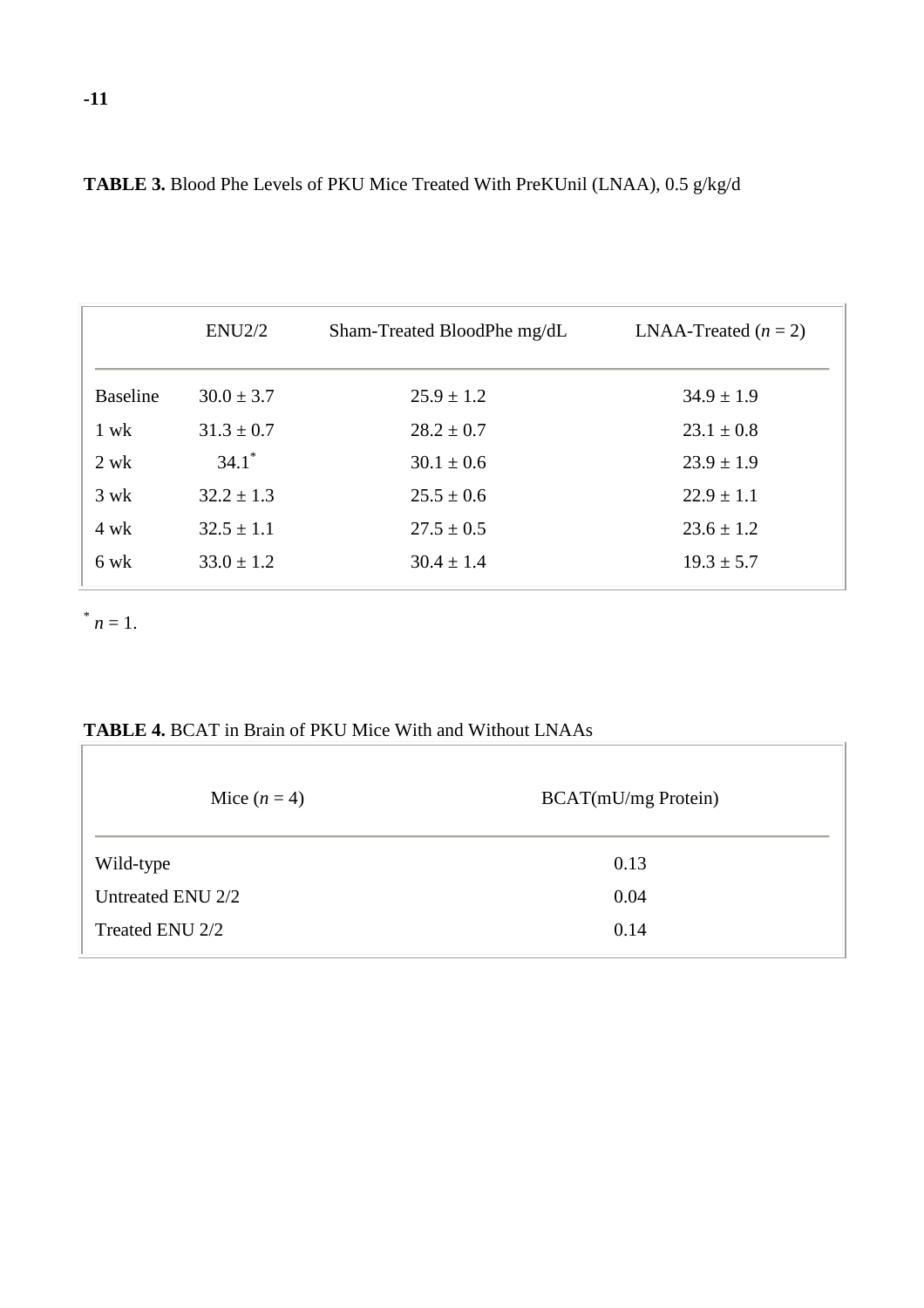|                 | ENU2/2              | Sham-Treated BloodPhe mg/dL | LNAA-Treated $(n = 2)$ |
|-----------------|---------------------|-----------------------------|------------------------|
| <b>Baseline</b> | $30.0 \pm 3.7$      | $25.9 \pm 1.2$              | $34.9 \pm 1.9$         |
| $1$ wk          | $31.3 \pm 0.7$      | $28.2 \pm 0.7$              | $23.1 \pm 0.8$         |
| $2$ wk          | $34.1$ <sup>*</sup> | $30.1 \pm 0.6$              | $23.9 \pm 1.9$         |
| $3 \text{ wk}$  | $32.2 \pm 1.3$      | $25.5 \pm 0.6$              | $22.9 \pm 1.1$         |
| $4$ wk          | $32.5 \pm 1.1$      | $27.5 \pm 0.5$              | $23.6 \pm 1.2$         |
| 6 wk            | $33.0 \pm 1.2$      | $30.4 \pm 1.4$              | $19.3 \pm 5.7$         |

**TABLE 3.** Blood Phe Levels of PKU Mice Treated With PreKUnil (LNAA), 0.5 g/kg/d

 $n = 1$ .

**TABLE 4.** BCAT in Brain of PKU Mice With and Without LNAAs

| Mice $(n=4)$      | <b>BCAT(mU/mg Protein)</b> |
|-------------------|----------------------------|
| Wild-type         | 0.13                       |
| Untreated ENU 2/2 | 0.04                       |
| Treated ENU 2/2   | 0.14                       |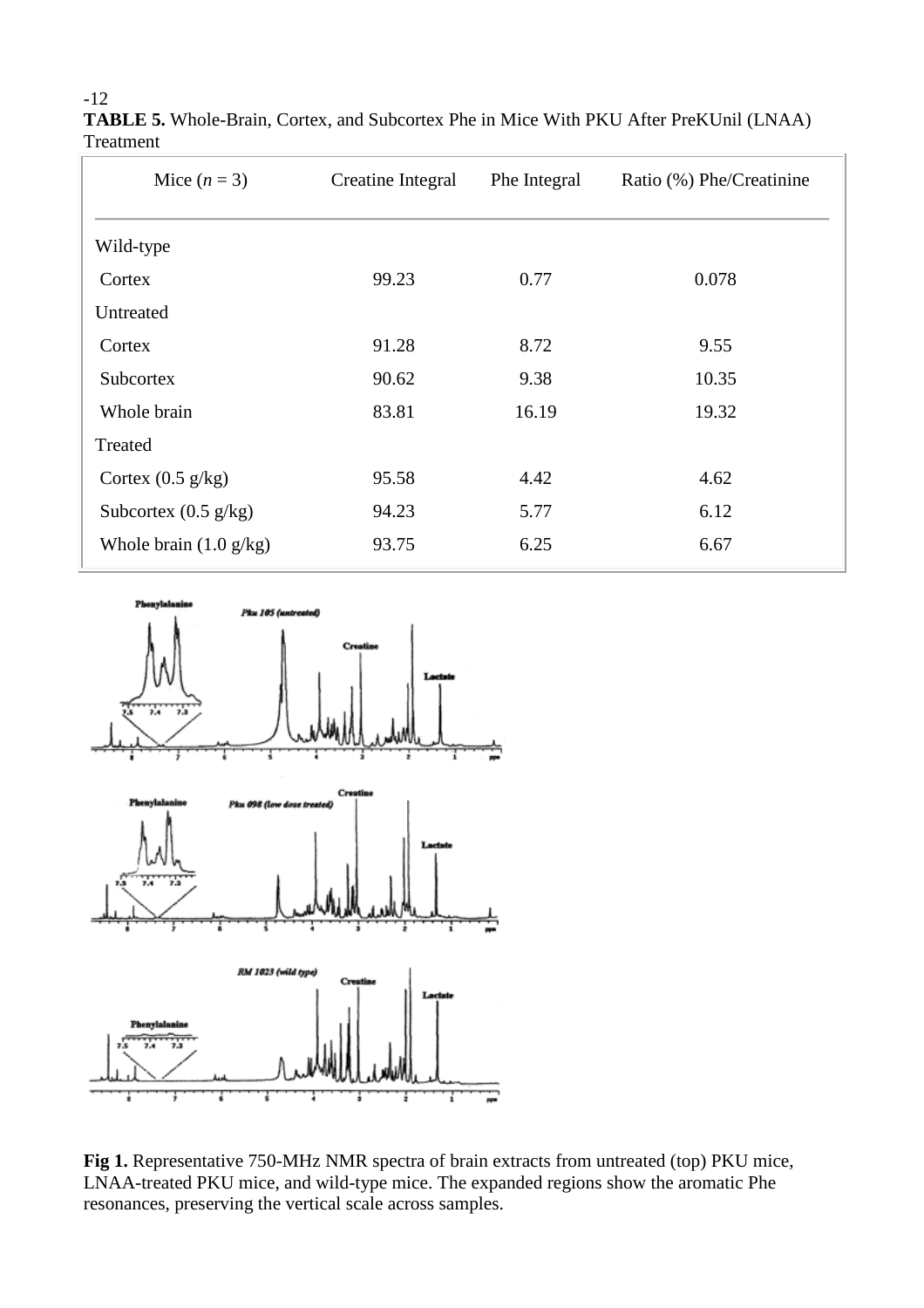| Mice $(n=3)$                     | <b>Creatine Integral</b> | Phe Integral | Ratio (%) Phe/Creatinine |
|----------------------------------|--------------------------|--------------|--------------------------|
| Wild-type                        |                          |              |                          |
| Cortex                           | 99.23                    | 0.77         | 0.078                    |
| Untreated                        |                          |              |                          |
| Cortex                           | 91.28                    | 8.72         | 9.55                     |
| <b>Subcortex</b>                 | 90.62                    | 9.38         | 10.35                    |
| Whole brain                      | 83.81                    | 16.19        | 19.32                    |
| Treated                          |                          |              |                          |
| Cortex $(0.5 \text{ g/kg})$      | 95.58                    | 4.42         | 4.62                     |
| Subcortex $(0.5 \text{ g/kg})$   | 94.23                    | 5.77         | 6.12                     |
| Whole brain $(1.0 \text{ g/kg})$ | 93.75                    | 6.25         | 6.67                     |

**TABLE 5.** Whole-Brain, Cortex, and Subcortex Phe in Mice With PKU After PreKUnil (LNAA) Treatment



**Fig 1.** Representative 750-MHz NMR spectra of brain extracts from untreated (top) PKU mice, LNAA-treated PKU mice, and wild-type mice. The expanded regions show the aromatic Phe resonances, preserving the vertical scale across samples.

-12